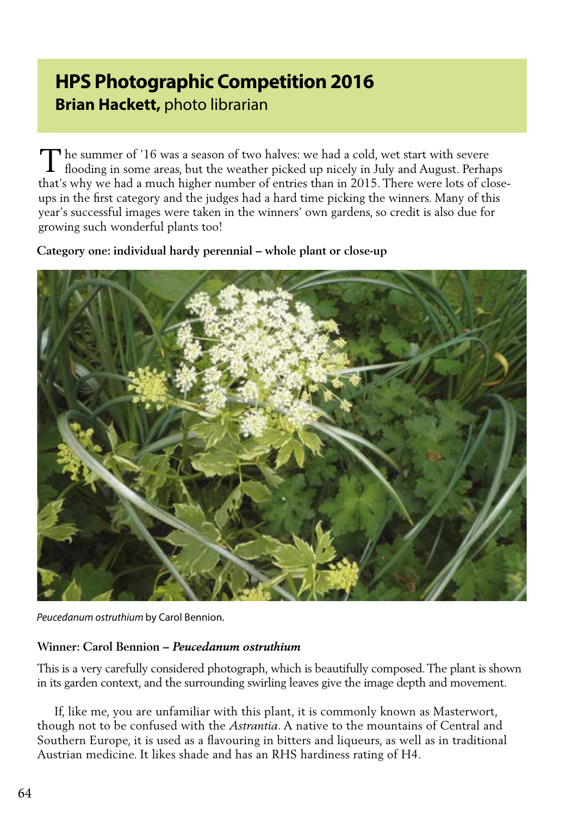# **HPS Photographic Competition 2016 Brian Hackett,** photo librarian

 $\mathbf \sigma$  he summer of '16 was a season of two halves: we had a cold, wet start with severe The summer of '16 was a season of two halves: we had a cold, wet start with severe flooding in some areas, but the weather picked up nicely in July and August. Perhaps that's why we had a much higher number of entries than in 2015. There were lots of closeups in the first category and the judges had a hard time picking the winners. Many of this year's successful images were taken in the winners' own gardens, so credit is also due for growing such wonderful plants too!

**Category one: individual hardy perennial – whole plant or close-up**



*Peucedanum ostruthium* by Carol Bennion.

## **Winner: Carol Bennion –** *Peucedanum ostruthium*

This is a very carefully considered photograph, which is beautifully composed. The plant is shown in its garden context, and the surrounding swirling leaves give the image depth and movement.

 If, like me, you are unfamiliar with this plant, it is commonly known as Masterwort, though not to be confused with the *Astrantia*. A native to the mountains of Central and Southern Europe, it is used as a flavouring in bitters and liqueurs, as well as in traditional Austrian medicine. It likes shade and has an RHS hardiness rating of H4.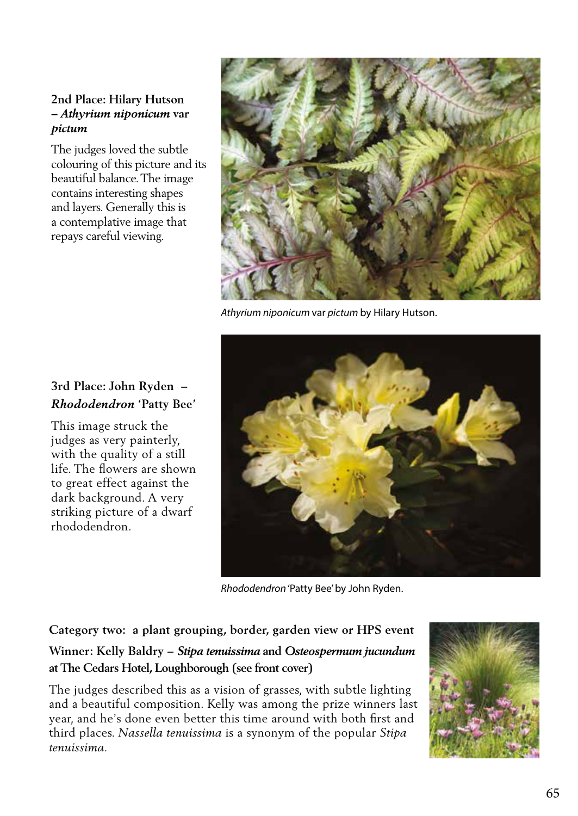## **2nd Place: Hilary Hutson**  *– Athyrium niponicum* **var**  *pictum*

The judges loved the subtle colouring of this picture and its beautiful balance. The image contains interesting shapes and layers. Generally this is a contemplative image that repays careful viewing.



*Athyrium niponicum* var *pictum* by Hilary Hutson.



*Rhododendron* 'Patty Bee' by John Ryden.

**Category two: a plant grouping, border, garden view or HPS event Winner: Kelly Baldry –** *Stipa tenuissima* **and** *Osteospermum jucundum*  **at The Cedars Hotel, Loughborough (see front cover)**

The judges described this as a vision of grasses, with subtle lighting and a beautiful composition. Kelly was among the prize winners last year, and he's done even better this time around with both first and third places. *Nassella tenuissima* is a synonym of the popular *Stipa tenuissima.*



# **3rd Place: John Ryden –**  *Rhododendron* **'Patty Bee'**

This image struck the judges as very painterly, with the quality of a still life. The flowers are shown to great effect against the dark background. A very striking picture of a dwarf rhododendron.